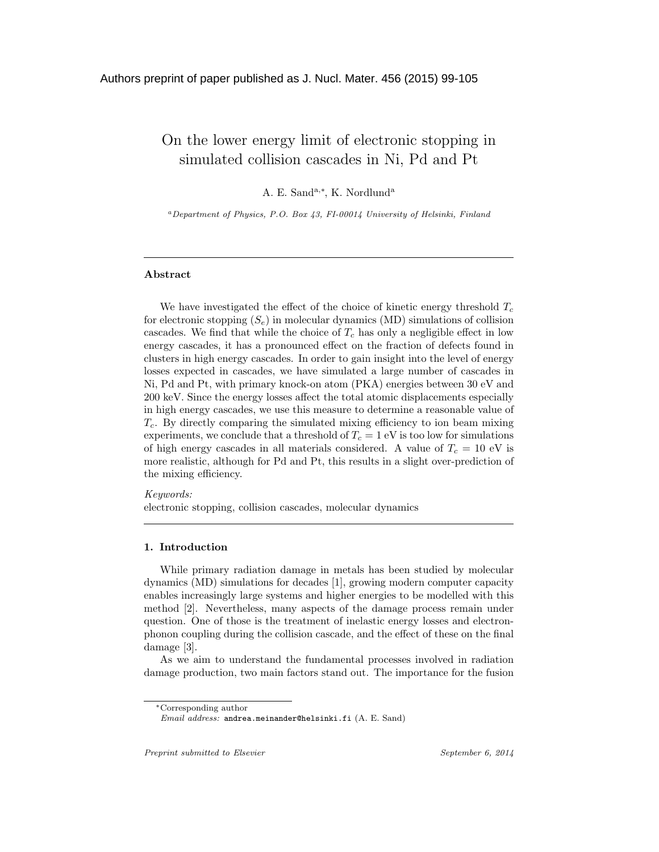# On the lower energy limit of electronic stopping in simulated collision cascades in Ni, Pd and Pt

A. E. Sand<sup>a,\*</sup>, K. Nordlund<sup>a</sup>

 ${}^a$ Department of Physics, P.O. Box 43, FI-00014 University of Helsinki, Finland

## Abstract

We have investigated the effect of the choice of kinetic energy threshold  $T_c$ for electronic stopping  $(S_e)$  in molecular dynamics (MD) simulations of collision cascades. We find that while the choice of  $T_c$  has only a negligible effect in low energy cascades, it has a pronounced effect on the fraction of defects found in clusters in high energy cascades. In order to gain insight into the level of energy losses expected in cascades, we have simulated a large number of cascades in Ni, Pd and Pt, with primary knock-on atom (PKA) energies between 30 eV and 200 keV. Since the energy losses affect the total atomic displacements especially in high energy cascades, we use this measure to determine a reasonable value of  $T_c$ . By directly comparing the simulated mixing efficiency to ion beam mixing experiments, we conclude that a threshold of  $T_c = 1$  eV is too low for simulations of high energy cascades in all materials considered. A value of  $T_c = 10$  eV is more realistic, although for Pd and Pt, this results in a slight over-prediction of the mixing efficiency.

Keywords: electronic stopping, collision cascades, molecular dynamics

#### 1. Introduction

While primary radiation damage in metals has been studied by molecular dynamics (MD) simulations for decades [1], growing modern computer capacity enables increasingly large systems and higher energies to be modelled with this method [2]. Nevertheless, many aspects of the damage process remain under question. One of those is the treatment of inelastic energy losses and electronphonon coupling during the collision cascade, and the effect of these on the final damage [3].

As we aim to understand the fundamental processes involved in radiation damage production, two main factors stand out. The importance for the fusion

<sup>∗</sup>Corresponding author

Email address: andrea.meinander@helsinki.fi (A. E. Sand)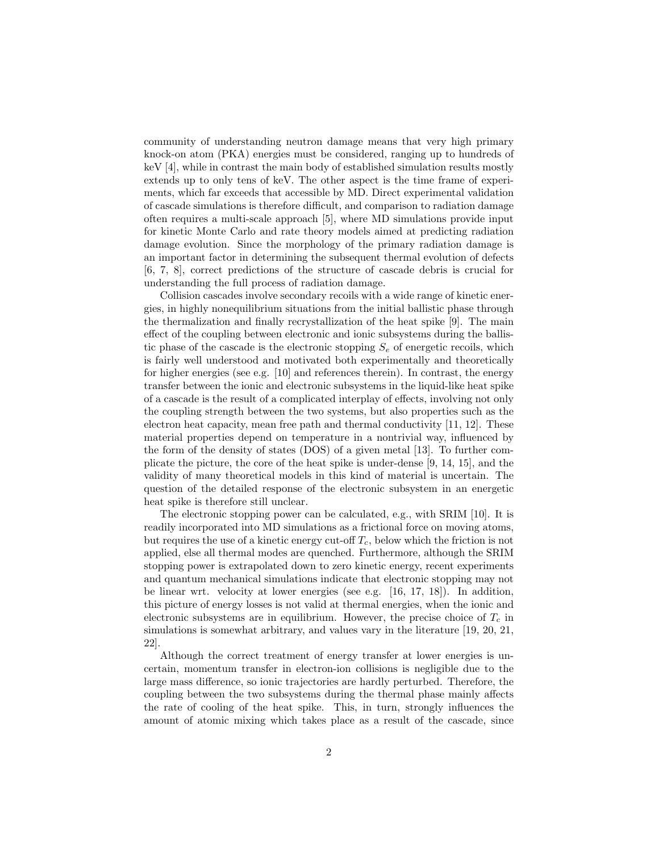community of understanding neutron damage means that very high primary knock-on atom (PKA) energies must be considered, ranging up to hundreds of keV [4], while in contrast the main body of established simulation results mostly extends up to only tens of keV. The other aspect is the time frame of experiments, which far exceeds that accessible by MD. Direct experimental validation of cascade simulations is therefore difficult, and comparison to radiation damage often requires a multi-scale approach [5], where MD simulations provide input for kinetic Monte Carlo and rate theory models aimed at predicting radiation damage evolution. Since the morphology of the primary radiation damage is an important factor in determining the subsequent thermal evolution of defects [6, 7, 8], correct predictions of the structure of cascade debris is crucial for understanding the full process of radiation damage.

Collision cascades involve secondary recoils with a wide range of kinetic energies, in highly nonequilibrium situations from the initial ballistic phase through the thermalization and finally recrystallization of the heat spike [9]. The main effect of the coupling between electronic and ionic subsystems during the ballistic phase of the cascade is the electronic stopping  $S_e$  of energetic recoils, which is fairly well understood and motivated both experimentally and theoretically for higher energies (see e.g. [10] and references therein). In contrast, the energy transfer between the ionic and electronic subsystems in the liquid-like heat spike of a cascade is the result of a complicated interplay of effects, involving not only the coupling strength between the two systems, but also properties such as the electron heat capacity, mean free path and thermal conductivity [11, 12]. These material properties depend on temperature in a nontrivial way, influenced by the form of the density of states (DOS) of a given metal [13]. To further complicate the picture, the core of the heat spike is under-dense [9, 14, 15], and the validity of many theoretical models in this kind of material is uncertain. The question of the detailed response of the electronic subsystem in an energetic heat spike is therefore still unclear.

The electronic stopping power can be calculated, e.g., with SRIM [10]. It is readily incorporated into MD simulations as a frictional force on moving atoms, but requires the use of a kinetic energy cut-off  $T_c$ , below which the friction is not applied, else all thermal modes are quenched. Furthermore, although the SRIM stopping power is extrapolated down to zero kinetic energy, recent experiments and quantum mechanical simulations indicate that electronic stopping may not be linear wrt. velocity at lower energies (see e.g. [16, 17, 18]). In addition, this picture of energy losses is not valid at thermal energies, when the ionic and electronic subsystems are in equilibrium. However, the precise choice of  $T_c$  in simulations is somewhat arbitrary, and values vary in the literature [19, 20, 21, 22].

Although the correct treatment of energy transfer at lower energies is uncertain, momentum transfer in electron-ion collisions is negligible due to the large mass difference, so ionic trajectories are hardly perturbed. Therefore, the coupling between the two subsystems during the thermal phase mainly affects the rate of cooling of the heat spike. This, in turn, strongly influences the amount of atomic mixing which takes place as a result of the cascade, since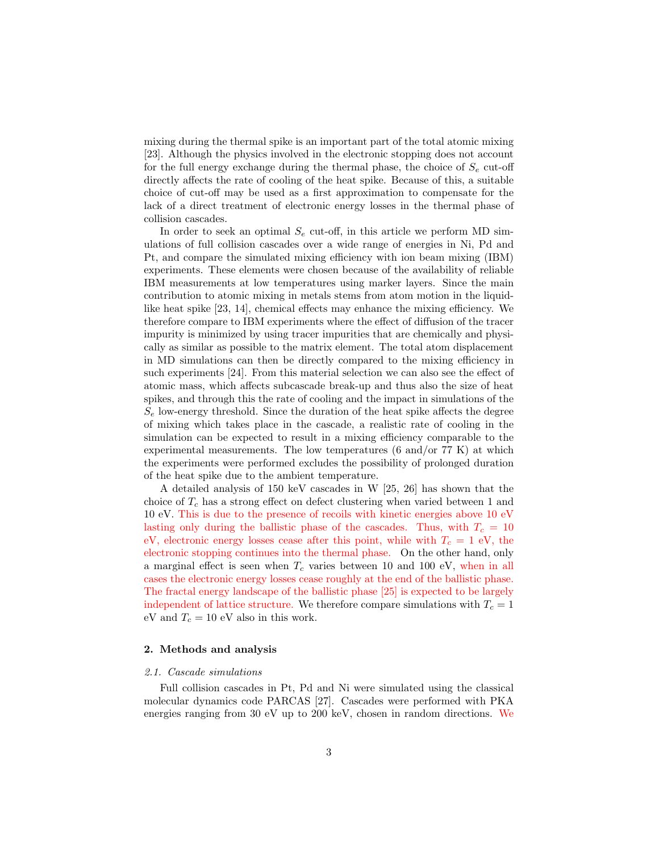mixing during the thermal spike is an important part of the total atomic mixing [23]. Although the physics involved in the electronic stopping does not account for the full energy exchange during the thermal phase, the choice of  $S_e$  cut-off directly affects the rate of cooling of the heat spike. Because of this, a suitable choice of cut-off may be used as a first approximation to compensate for the lack of a direct treatment of electronic energy losses in the thermal phase of collision cascades.

In order to seek an optimal  $S_e$  cut-off, in this article we perform MD simulations of full collision cascades over a wide range of energies in Ni, Pd and Pt, and compare the simulated mixing efficiency with ion beam mixing (IBM) experiments. These elements were chosen because of the availability of reliable IBM measurements at low temperatures using marker layers. Since the main contribution to atomic mixing in metals stems from atom motion in the liquidlike heat spike [23, 14], chemical effects may enhance the mixing efficiency. We therefore compare to IBM experiments where the effect of diffusion of the tracer impurity is minimized by using tracer impurities that are chemically and physically as similar as possible to the matrix element. The total atom displacement in MD simulations can then be directly compared to the mixing efficiency in such experiments [24]. From this material selection we can also see the effect of atomic mass, which affects subcascade break-up and thus also the size of heat spikes, and through this the rate of cooling and the impact in simulations of the  $S_e$  low-energy threshold. Since the duration of the heat spike affects the degree of mixing which takes place in the cascade, a realistic rate of cooling in the simulation can be expected to result in a mixing efficiency comparable to the experimental measurements. The low temperatures (6 and/or 77 K) at which the experiments were performed excludes the possibility of prolonged duration of the heat spike due to the ambient temperature.

A detailed analysis of 150 keV cascades in W [25, 26] has shown that the choice of  $T_c$  has a strong effect on defect clustering when varied between 1 and 10 eV. This is due to the presence of recoils with kinetic energies above 10 eV lasting only during the ballistic phase of the cascades. Thus, with  $T_c = 10$ eV, electronic energy losses cease after this point, while with  $T_c = 1$  eV, the electronic stopping continues into the thermal phase. On the other hand, only a marginal effect is seen when  $T_c$  varies between 10 and 100 eV, when in all cases the electronic energy losses cease roughly at the end of the ballistic phase. The fractal energy landscape of the ballistic phase [25] is expected to be largely independent of lattice structure. We therefore compare simulations with  $T_c = 1$ eV and  $T_c = 10$  eV also in this work.

# 2. Methods and analysis

#### 2.1. Cascade simulations

Full collision cascades in Pt, Pd and Ni were simulated using the classical molecular dynamics code PARCAS [27]. Cascades were performed with PKA energies ranging from 30 eV up to 200 keV, chosen in random directions. We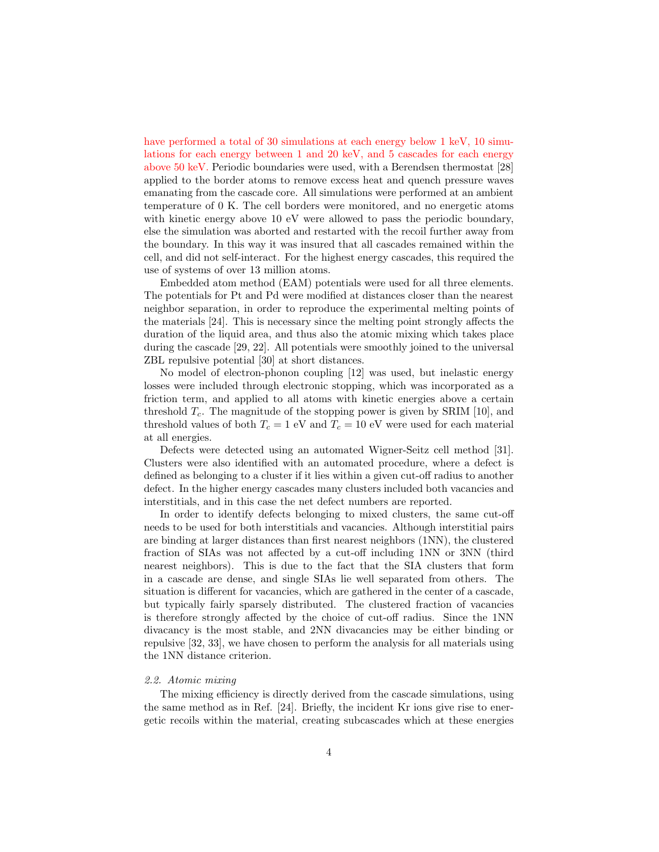have performed a total of 30 simulations at each energy below 1 keV, 10 simulations for each energy between 1 and 20 keV, and 5 cascades for each energy above 50 keV. Periodic boundaries were used, with a Berendsen thermostat [28] applied to the border atoms to remove excess heat and quench pressure waves emanating from the cascade core. All simulations were performed at an ambient temperature of 0 K. The cell borders were monitored, and no energetic atoms with kinetic energy above 10 eV were allowed to pass the periodic boundary, else the simulation was aborted and restarted with the recoil further away from the boundary. In this way it was insured that all cascades remained within the cell, and did not self-interact. For the highest energy cascades, this required the use of systems of over 13 million atoms.

Embedded atom method (EAM) potentials were used for all three elements. The potentials for Pt and Pd were modified at distances closer than the nearest neighbor separation, in order to reproduce the experimental melting points of the materials [24]. This is necessary since the melting point strongly affects the duration of the liquid area, and thus also the atomic mixing which takes place during the cascade [29, 22]. All potentials were smoothly joined to the universal ZBL repulsive potential [30] at short distances.

No model of electron-phonon coupling [12] was used, but inelastic energy losses were included through electronic stopping, which was incorporated as a friction term, and applied to all atoms with kinetic energies above a certain threshold  $T_c$ . The magnitude of the stopping power is given by SRIM [10], and threshold values of both  $T_c = 1$  eV and  $T_c = 10$  eV were used for each material at all energies.

Defects were detected using an automated Wigner-Seitz cell method [31]. Clusters were also identified with an automated procedure, where a defect is defined as belonging to a cluster if it lies within a given cut-off radius to another defect. In the higher energy cascades many clusters included both vacancies and interstitials, and in this case the net defect numbers are reported.

In order to identify defects belonging to mixed clusters, the same cut-off needs to be used for both interstitials and vacancies. Although interstitial pairs are binding at larger distances than first nearest neighbors (1NN), the clustered fraction of SIAs was not affected by a cut-off including 1NN or 3NN (third nearest neighbors). This is due to the fact that the SIA clusters that form in a cascade are dense, and single SIAs lie well separated from others. The situation is different for vacancies, which are gathered in the center of a cascade, but typically fairly sparsely distributed. The clustered fraction of vacancies is therefore strongly affected by the choice of cut-off radius. Since the 1NN divacancy is the most stable, and 2NN divacancies may be either binding or repulsive [32, 33], we have chosen to perform the analysis for all materials using the 1NN distance criterion.

### 2.2. Atomic mixing

The mixing efficiency is directly derived from the cascade simulations, using the same method as in Ref. [24]. Briefly, the incident Kr ions give rise to energetic recoils within the material, creating subcascades which at these energies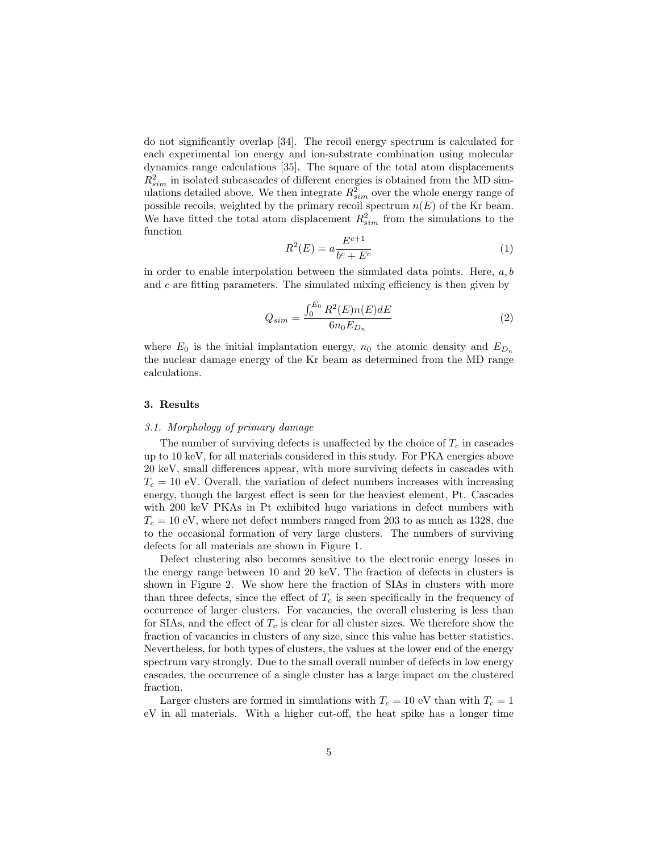do not significantly overlap [34]. The recoil energy spectrum is calculated for each experimental ion energy and ion-substrate combination using molecular dynamics range calculations [35]. The square of the total atom displacements  $R_{sim}^2$  in isolated subcascades of different energies is obtained from the MD simulations detailed above. We then integrate  $R_{sim}^2$  over the whole energy range of possible recoils, weighted by the primary recoil spectrum  $n(E)$  of the Kr beam. We have fitted the total atom displacement  $R_{sim}^2$  from the simulations to the function

$$
R^{2}(E) = a \frac{E^{c+1}}{b^{c} + E^{c}}
$$
 (1)

in order to enable interpolation between the simulated data points. Here,  $a, b$ and  $c$  are fitting parameters. The simulated mixing efficiency is then given by

$$
Q_{sim} = \frac{\int_0^{E_0} R^2(E) n(E) dE}{6 n_0 E_{D_n}}
$$
 (2)

where  $E_0$  is the initial implantation energy,  $n_0$  the atomic density and  $E_{D_n}$ the nuclear damage energy of the Kr beam as determined from the MD range calculations.

### 3. Results

## 3.1. Morphology of primary damage

The number of surviving defects is unaffected by the choice of  $T_c$  in cascades up to 10 keV, for all materials considered in this study. For PKA energies above 20 keV, small differences appear, with more surviving defects in cascades with  $T_c = 10$  eV. Overall, the variation of defect numbers increases with increasing energy, though the largest effect is seen for the heaviest element, Pt. Cascades with 200 keV PKAs in Pt exhibited huge variations in defect numbers with  $T_c = 10$  eV, where net defect numbers ranged from 203 to as much as 1328, due to the occasional formation of very large clusters. The numbers of surviving defects for all materials are shown in Figure 1.

Defect clustering also becomes sensitive to the electronic energy losses in the energy range between 10 and 20 keV. The fraction of defects in clusters is shown in Figure 2. We show here the fraction of SIAs in clusters with more than three defects, since the effect of  $T_c$  is seen specifically in the frequency of occurrence of larger clusters. For vacancies, the overall clustering is less than for SIAs, and the effect of  $T_c$  is clear for all cluster sizes. We therefore show the fraction of vacancies in clusters of any size, since this value has better statistics. Nevertheless, for both types of clusters, the values at the lower end of the energy spectrum vary strongly. Due to the small overall number of defects in low energy cascades, the occurrence of a single cluster has a large impact on the clustered fraction.

Larger clusters are formed in simulations with  $T_c = 10$  eV than with  $T_c = 1$ eV in all materials. With a higher cut-off, the heat spike has a longer time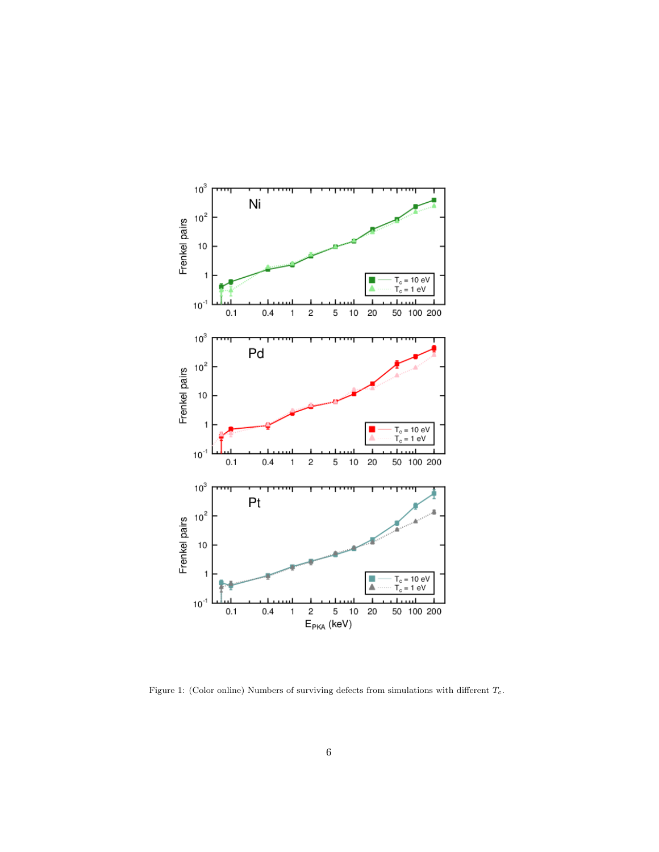

Figure 1: (Color online) Numbers of surviving defects from simulations with different  $T_c$ .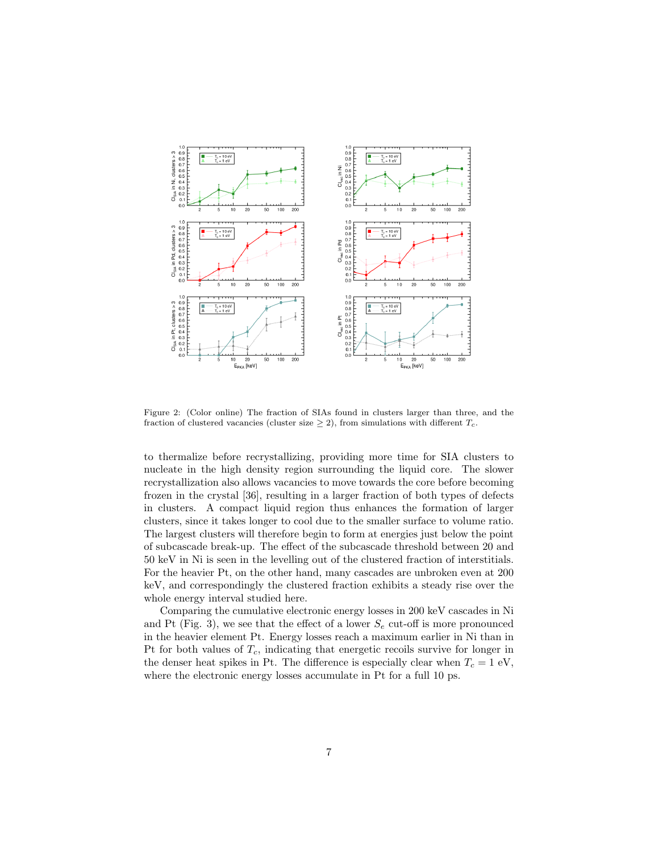

Figure 2: (Color online) The fraction of SIAs found in clusters larger than three, and the fraction of clustered vacancies (cluster size  $\geq$  2), from simulations with different  $T_c$ .

to thermalize before recrystallizing, providing more time for SIA clusters to nucleate in the high density region surrounding the liquid core. The slower recrystallization also allows vacancies to move towards the core before becoming frozen in the crystal [36], resulting in a larger fraction of both types of defects in clusters. A compact liquid region thus enhances the formation of larger clusters, since it takes longer to cool due to the smaller surface to volume ratio. The largest clusters will therefore begin to form at energies just below the point of subcascade break-up. The effect of the subcascade threshold between 20 and 50 keV in Ni is seen in the levelling out of the clustered fraction of interstitials. For the heavier Pt, on the other hand, many cascades are unbroken even at 200 keV, and correspondingly the clustered fraction exhibits a steady rise over the whole energy interval studied here.

Comparing the cumulative electronic energy losses in 200 keV cascades in Ni and Pt (Fig. 3), we see that the effect of a lower  $S_e$  cut-off is more pronounced in the heavier element Pt. Energy losses reach a maximum earlier in Ni than in Pt for both values of  $T_c$ , indicating that energetic recoils survive for longer in the denser heat spikes in Pt. The difference is especially clear when  $T_c = 1$  eV, where the electronic energy losses accumulate in Pt for a full 10 ps.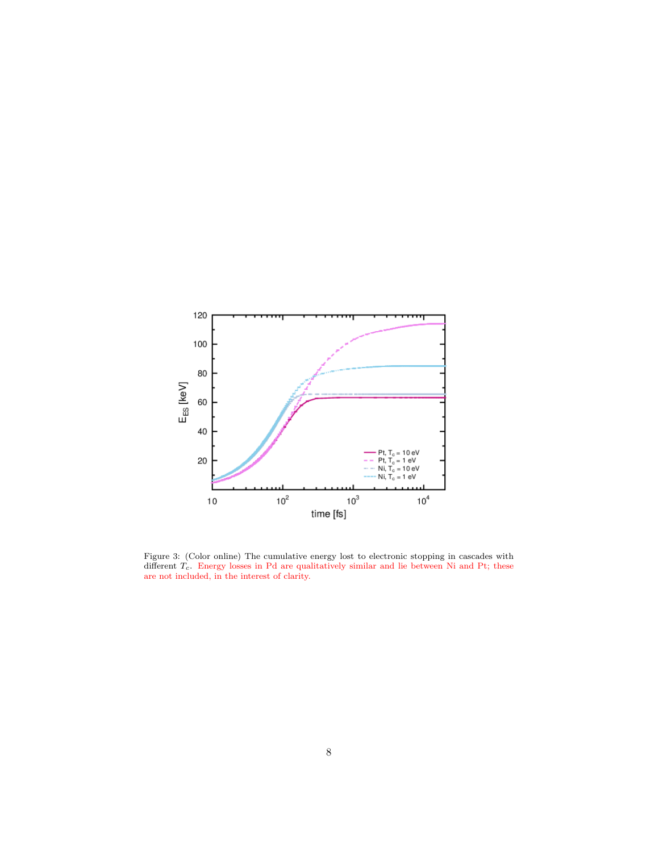

Figure 3: (Color online) The cumulative energy lost to electronic stopping in cascades with different  $T_c$ . Energy losses in Pd are qualitatively similar and lie between Ni and Pt; these are not included, in the interest of clarity.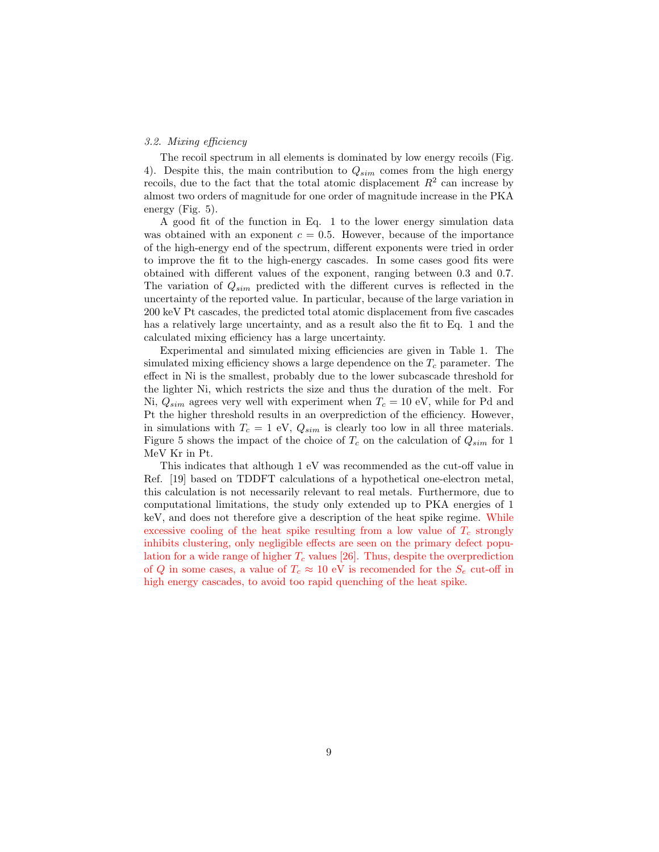# 3.2. Mixing efficiency

The recoil spectrum in all elements is dominated by low energy recoils (Fig. 4). Despite this, the main contribution to  $Q_{sim}$  comes from the high energy recoils, due to the fact that the total atomic displacement  $R^2$  can increase by almost two orders of magnitude for one order of magnitude increase in the PKA energy (Fig. 5).

A good fit of the function in Eq. 1 to the lower energy simulation data was obtained with an exponent  $c = 0.5$ . However, because of the importance of the high-energy end of the spectrum, different exponents were tried in order to improve the fit to the high-energy cascades. In some cases good fits were obtained with different values of the exponent, ranging between 0.3 and 0.7. The variation of  $Q_{sim}$  predicted with the different curves is reflected in the uncertainty of the reported value. In particular, because of the large variation in 200 keV Pt cascades, the predicted total atomic displacement from five cascades has a relatively large uncertainty, and as a result also the fit to Eq. 1 and the calculated mixing efficiency has a large uncertainty.

Experimental and simulated mixing efficiencies are given in Table 1. The simulated mixing efficiency shows a large dependence on the  $T_c$  parameter. The effect in Ni is the smallest, probably due to the lower subcascade threshold for the lighter Ni, which restricts the size and thus the duration of the melt. For Ni,  $Q_{sim}$  agrees very well with experiment when  $T_c = 10$  eV, while for Pd and Pt the higher threshold results in an overprediction of the efficiency. However, in simulations with  $T_c = 1$  eV,  $Q_{sim}$  is clearly too low in all three materials. Figure 5 shows the impact of the choice of  $T_c$  on the calculation of  $Q_{sim}$  for 1 MeV Kr in Pt.

This indicates that although 1 eV was recommended as the cut-off value in Ref. [19] based on TDDFT calculations of a hypothetical one-electron metal, this calculation is not necessarily relevant to real metals. Furthermore, due to computational limitations, the study only extended up to PKA energies of 1 keV, and does not therefore give a description of the heat spike regime. While excessive cooling of the heat spike resulting from a low value of  $T_c$  strongly inhibits clustering, only negligible effects are seen on the primary defect population for a wide range of higher  $T_c$  values [26]. Thus, despite the overprediction of Q in some cases, a value of  $T_c \approx 10$  eV is recomended for the  $S_e$  cut-off in high energy cascades, to avoid too rapid quenching of the heat spike.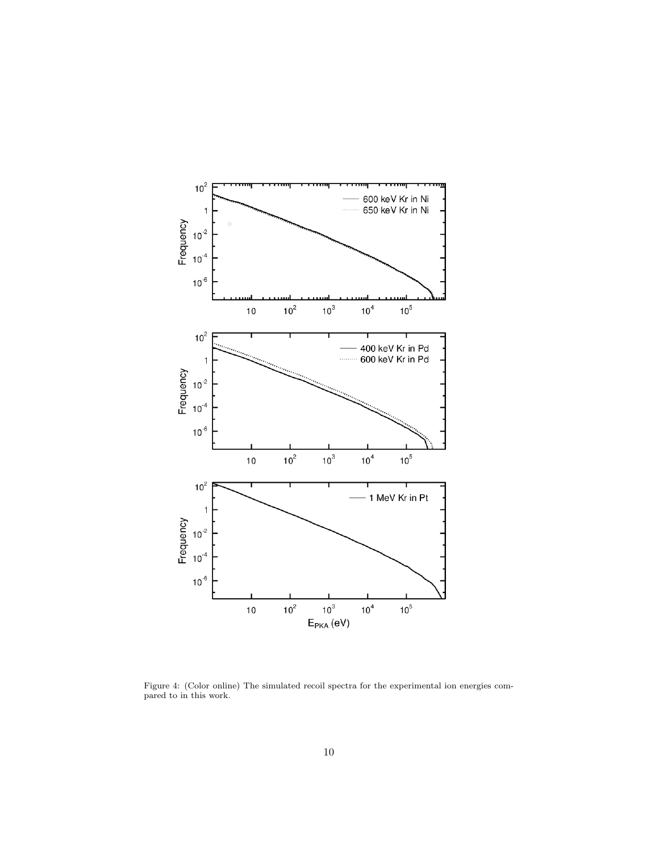

Figure 4: (Color online) The simulated recoil spectra for the experimental ion energies compared to in this work.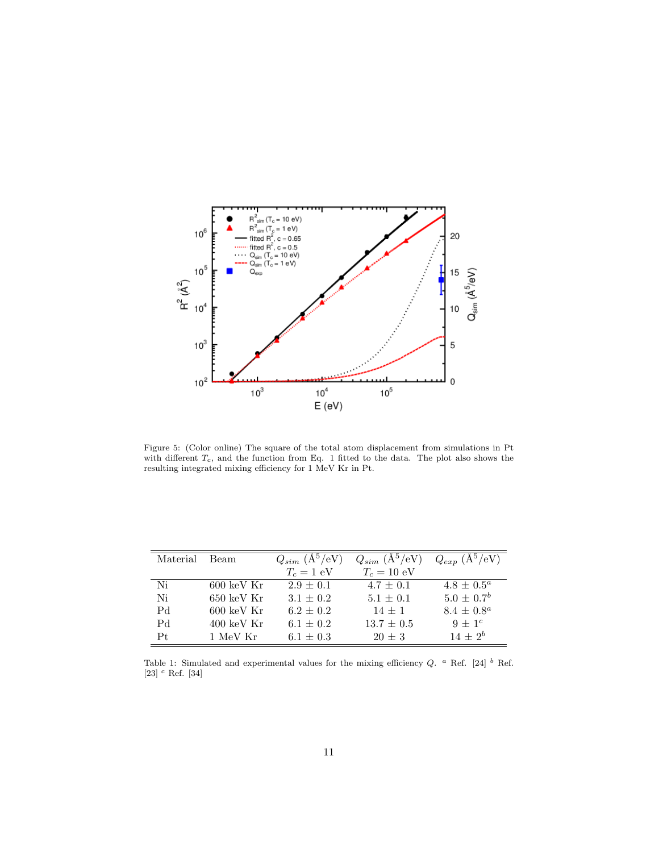

Figure 5: (Color online) The square of the total atom displacement from simulations in Pt with different  $T_c$ , and the function from Eq. 1 fitted to the data. The plot also shows the resulting integrated mixing efficiency for 1 MeV Kr in Pt.

| Material       | Beam                     | $Q_{sim}$ $(\text{A}^5/\text{eV})$ | $Q_{sim}$ $(\text{A}^5/\text{eV})$ | $Q_{exp}$ $(\text{A}^5/\text{eV})$ |
|----------------|--------------------------|------------------------------------|------------------------------------|------------------------------------|
|                |                          | $T_c = 1$ eV                       | $T_c = 10$ eV                      |                                    |
| Ni             | $600 \text{ keV Kr}$     | $2.9 \pm 0.1$                      | $4.7 \pm 0.1$                      | $4.8 \pm 0.5^a$                    |
| Ni             | $650~{\rm keV~Kr}$       | $3.1 \pm 0.2$                      | $5.1 \pm 0.1$                      | $5.0 \pm 0.7^b$                    |
| P <sub>d</sub> | $600 \text{ keV Kr}$     | $6.2 \pm 0.2$                      | $14 \pm 1$                         | $8.4 \pm 0.8^a$                    |
| P <sub>d</sub> | $400 \; \mathrm{keV}$ Kr | $6.1 \pm 0.2$                      | $13.7 \pm 0.5$                     | $9 \pm 1^c$                        |
| Pt             | 1 MeV Kr                 | $6.1 \pm 0.3$                      | $20 \pm 3$                         | $14+2^b$                           |

Table 1: Simulated and experimental values for the mixing efficiency  $Q$ . <sup>a</sup> Ref. [24]  $\frac{b}{r}$  Ref. [23]  $c$  Ref. [34]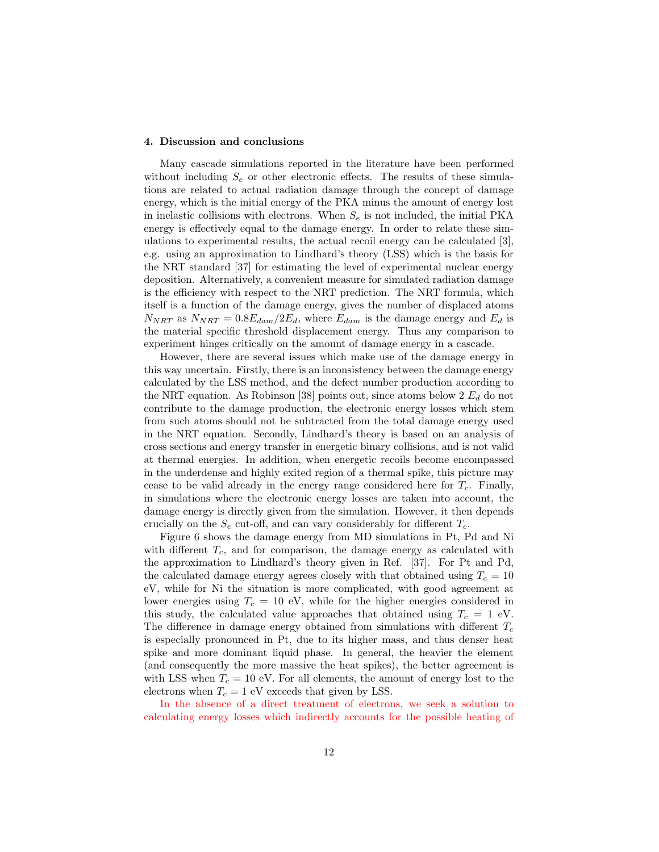## 4. Discussion and conclusions

Many cascade simulations reported in the literature have been performed without including  $S_e$  or other electronic effects. The results of these simulations are related to actual radiation damage through the concept of damage energy, which is the initial energy of the PKA minus the amount of energy lost in inelastic collisions with electrons. When  $S_e$  is not included, the initial PKA energy is effectively equal to the damage energy. In order to relate these simulations to experimental results, the actual recoil energy can be calculated [3], e.g. using an approximation to Lindhard's theory (LSS) which is the basis for the NRT standard [37] for estimating the level of experimental nuclear energy deposition. Alternatively, a convenient measure for simulated radiation damage is the efficiency with respect to the NRT prediction. The NRT formula, which itself is a function of the damage energy, gives the number of displaced atoms  $N_{NRT}$  as  $N_{NRT} = 0.8E_{dam}/2E_d$ , where  $E_{dam}$  is the damage energy and  $E_d$  is the material specific threshold displacement energy. Thus any comparison to experiment hinges critically on the amount of damage energy in a cascade.

However, there are several issues which make use of the damage energy in this way uncertain. Firstly, there is an inconsistency between the damage energy calculated by the LSS method, and the defect number production according to the NRT equation. As Robinson [38] points out, since atoms below 2  $E_d$  do not contribute to the damage production, the electronic energy losses which stem from such atoms should not be subtracted from the total damage energy used in the NRT equation. Secondly, Lindhard's theory is based on an analysis of cross sections and energy transfer in energetic binary collisions, and is not valid at thermal energies. In addition, when energetic recoils become encompassed in the underdense and highly exited region of a thermal spike, this picture may cease to be valid already in the energy range considered here for  $T_c$ . Finally, in simulations where the electronic energy losses are taken into account, the damage energy is directly given from the simulation. However, it then depends crucially on the  $S_e$  cut-off, and can vary considerably for different  $T_c$ .

Figure 6 shows the damage energy from MD simulations in Pt, Pd and Ni with different  $T_c$ , and for comparison, the damage energy as calculated with the approximation to Lindhard's theory given in Ref. [37]. For Pt and Pd, the calculated damage energy agrees closely with that obtained using  $T_c = 10$ eV, while for Ni the situation is more complicated, with good agreement at lower energies using  $T_c = 10$  eV, while for the higher energies considered in this study, the calculated value approaches that obtained using  $T_c = 1$  eV. The difference in damage energy obtained from simulations with different  $T_c$ is especially pronounced in Pt, due to its higher mass, and thus denser heat spike and more dominant liquid phase. In general, the heavier the element (and consequently the more massive the heat spikes), the better agreement is with LSS when  $T_c = 10$  eV. For all elements, the amount of energy lost to the electrons when  $T_c = 1$  eV exceeds that given by LSS.

In the absence of a direct treatment of electrons, we seek a solution to calculating energy losses which indirectly accounts for the possible heating of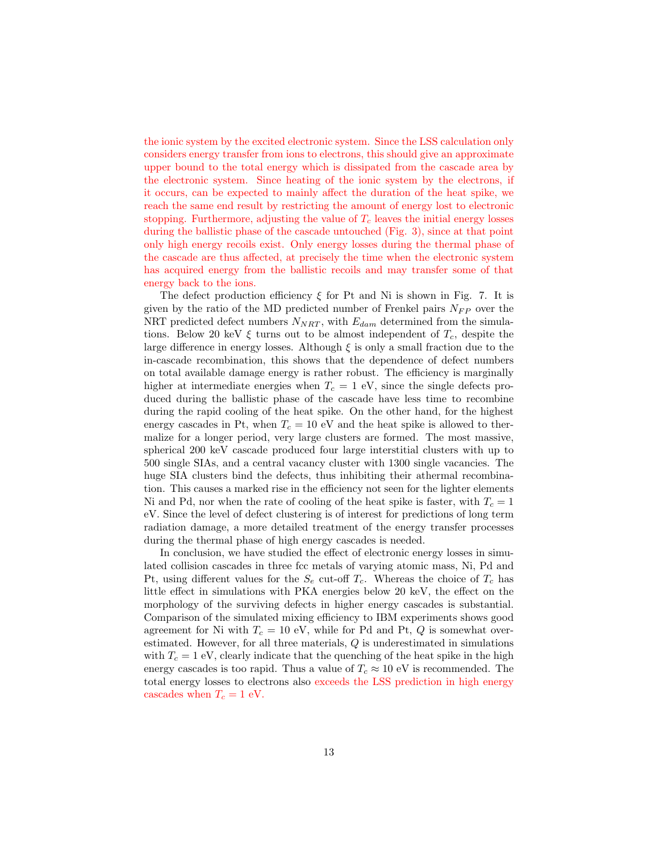the ionic system by the excited electronic system. Since the LSS calculation only considers energy transfer from ions to electrons, this should give an approximate upper bound to the total energy which is dissipated from the cascade area by the electronic system. Since heating of the ionic system by the electrons, if it occurs, can be expected to mainly affect the duration of the heat spike, we reach the same end result by restricting the amount of energy lost to electronic stopping. Furthermore, adjusting the value of  $T_c$  leaves the initial energy losses during the ballistic phase of the cascade untouched (Fig. 3), since at that point only high energy recoils exist. Only energy losses during the thermal phase of the cascade are thus affected, at precisely the time when the electronic system has acquired energy from the ballistic recoils and may transfer some of that energy back to the ions.

The defect production efficiency  $\xi$  for Pt and Ni is shown in Fig. 7. It is given by the ratio of the MD predicted number of Frenkel pairs  $N_{FP}$  over the NRT predicted defect numbers  $N_{NRT}$ , with  $E_{dam}$  determined from the simulations. Below 20 keV  $\xi$  turns out to be almost independent of  $T_c$ , despite the large difference in energy losses. Although  $\xi$  is only a small fraction due to the in-cascade recombination, this shows that the dependence of defect numbers on total available damage energy is rather robust. The efficiency is marginally higher at intermediate energies when  $T_c = 1$  eV, since the single defects produced during the ballistic phase of the cascade have less time to recombine during the rapid cooling of the heat spike. On the other hand, for the highest energy cascades in Pt, when  $T_c = 10$  eV and the heat spike is allowed to thermalize for a longer period, very large clusters are formed. The most massive, spherical 200 keV cascade produced four large interstitial clusters with up to 500 single SIAs, and a central vacancy cluster with 1300 single vacancies. The huge SIA clusters bind the defects, thus inhibiting their athermal recombination. This causes a marked rise in the efficiency not seen for the lighter elements Ni and Pd, nor when the rate of cooling of the heat spike is faster, with  $T_c = 1$ eV. Since the level of defect clustering is of interest for predictions of long term radiation damage, a more detailed treatment of the energy transfer processes during the thermal phase of high energy cascades is needed.

In conclusion, we have studied the effect of electronic energy losses in simulated collision cascades in three fcc metals of varying atomic mass, Ni, Pd and Pt, using different values for the  $S_e$  cut-off  $T_c$ . Whereas the choice of  $T_c$  has little effect in simulations with PKA energies below 20 keV, the effect on the morphology of the surviving defects in higher energy cascades is substantial. Comparison of the simulated mixing efficiency to IBM experiments shows good agreement for Ni with  $T_c = 10$  eV, while for Pd and Pt, Q is somewhat overestimated. However, for all three materials, Q is underestimated in simulations with  $T_c = 1$  eV, clearly indicate that the quenching of the heat spike in the high energy cascades is too rapid. Thus a value of  $T_c \approx 10 \text{ eV}$  is recommended. The total energy losses to electrons also exceeds the LSS prediction in high energy cascades when  $T_c = 1$  eV.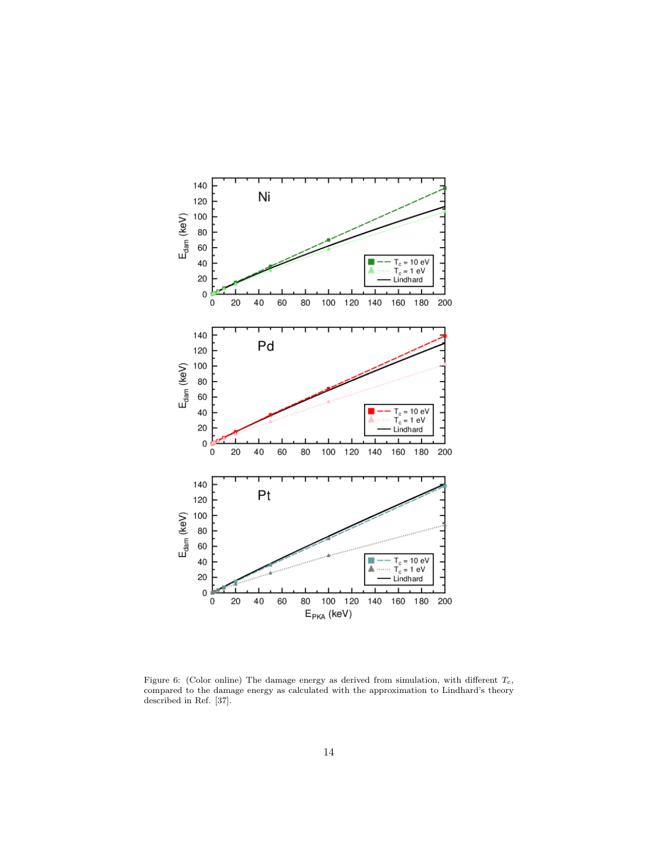

Figure 6: (Color online) The damage energy as derived from simulation, with different  $T_c$ , compared to the damage energy as calculated with the approximation to Lindhard's theory described in Ref. [37].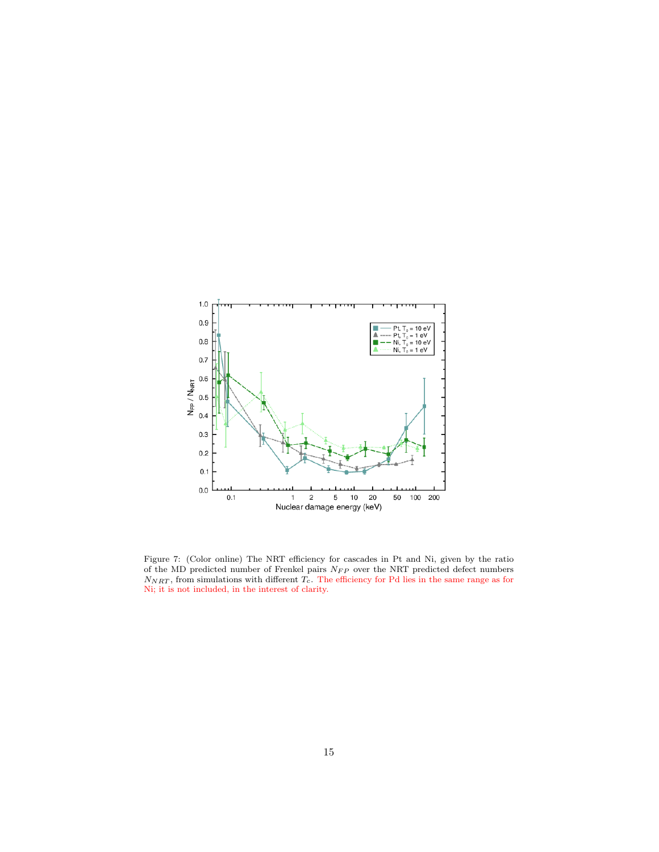

Figure 7: (Color online) The NRT efficiency for cascades in Pt and Ni, given by the ratio of the MD predicted number of Frenkel pairs  $N_{FP}$  over the NRT predicted defect numbers  $N_{NRT}$ , from simulations with different  $T_c$ . The efficiency for Pd lies in the same range as for Ni; it is not included, in the interest of clarity.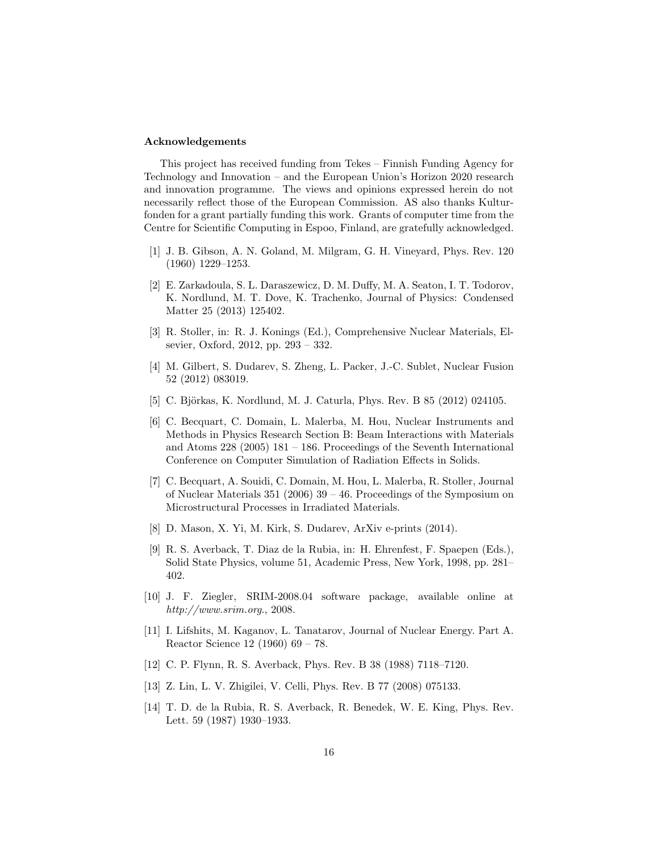# Acknowledgements

This project has received funding from Tekes – Finnish Funding Agency for Technology and Innovation – and the European Union's Horizon 2020 research and innovation programme. The views and opinions expressed herein do not necessarily reflect those of the European Commission. AS also thanks Kulturfonden for a grant partially funding this work. Grants of computer time from the Centre for Scientific Computing in Espoo, Finland, are gratefully acknowledged.

- [1] J. B. Gibson, A. N. Goland, M. Milgram, G. H. Vineyard, Phys. Rev. 120 (1960) 1229–1253.
- [2] E. Zarkadoula, S. L. Daraszewicz, D. M. Duffy, M. A. Seaton, I. T. Todorov, K. Nordlund, M. T. Dove, K. Trachenko, Journal of Physics: Condensed Matter 25 (2013) 125402.
- [3] R. Stoller, in: R. J. Konings (Ed.), Comprehensive Nuclear Materials, Elsevier, Oxford, 2012, pp. 293 – 332.
- [4] M. Gilbert, S. Dudarev, S. Zheng, L. Packer, J.-C. Sublet, Nuclear Fusion 52 (2012) 083019.
- [5] C. Björkas, K. Nordlund, M. J. Caturla, Phys. Rev. B 85 (2012) 024105.
- [6] C. Becquart, C. Domain, L. Malerba, M. Hou, Nuclear Instruments and Methods in Physics Research Section B: Beam Interactions with Materials and Atoms 228 (2005) 181 – 186. Proceedings of the Seventh International Conference on Computer Simulation of Radiation Effects in Solids.
- [7] C. Becquart, A. Souidi, C. Domain, M. Hou, L. Malerba, R. Stoller, Journal of Nuclear Materials 351 (2006) 39 – 46. Proceedings of the Symposium on Microstructural Processes in Irradiated Materials.
- [8] D. Mason, X. Yi, M. Kirk, S. Dudarev, ArXiv e-prints (2014).
- [9] R. S. Averback, T. Diaz de la Rubia, in: H. Ehrenfest, F. Spaepen (Eds.), Solid State Physics, volume 51, Academic Press, New York, 1998, pp. 281– 402.
- [10] J. F. Ziegler, SRIM-2008.04 software package, available online at http://www.srim.org., 2008.
- [11] I. Lifshits, M. Kaganov, L. Tanatarov, Journal of Nuclear Energy. Part A. Reactor Science 12 (1960) 69 – 78.
- [12] C. P. Flynn, R. S. Averback, Phys. Rev. B 38 (1988) 7118–7120.
- [13] Z. Lin, L. V. Zhigilei, V. Celli, Phys. Rev. B 77 (2008) 075133.
- [14] T. D. de la Rubia, R. S. Averback, R. Benedek, W. E. King, Phys. Rev. Lett. 59 (1987) 1930–1933.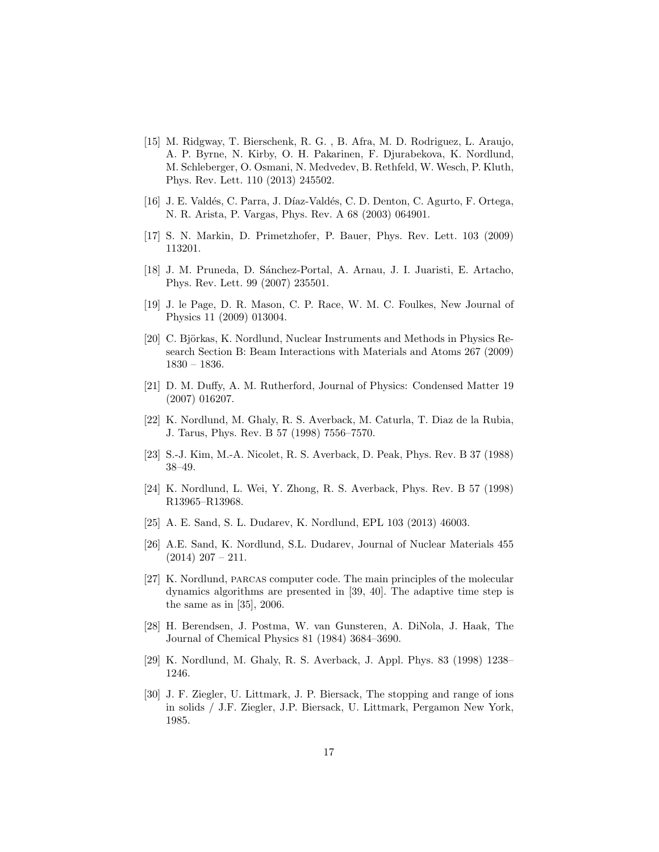- [15] M. Ridgway, T. Bierschenk, R. G. , B. Afra, M. D. Rodriguez, L. Araujo, A. P. Byrne, N. Kirby, O. H. Pakarinen, F. Djurabekova, K. Nordlund, M. Schleberger, O. Osmani, N. Medvedev, B. Rethfeld, W. Wesch, P. Kluth, Phys. Rev. Lett. 110 (2013) 245502.
- [16] J. E. Valdés, C. Parra, J. Díaz-Valdés, C. D. Denton, C. Agurto, F. Ortega, N. R. Arista, P. Vargas, Phys. Rev. A 68 (2003) 064901.
- [17] S. N. Markin, D. Primetzhofer, P. Bauer, Phys. Rev. Lett. 103 (2009) 113201.
- [18] J. M. Pruneda, D. S´anchez-Portal, A. Arnau, J. I. Juaristi, E. Artacho, Phys. Rev. Lett. 99 (2007) 235501.
- [19] J. le Page, D. R. Mason, C. P. Race, W. M. C. Foulkes, New Journal of Physics 11 (2009) 013004.
- [20] C. Björkas, K. Nordlund, Nuclear Instruments and Methods in Physics Research Section B: Beam Interactions with Materials and Atoms 267 (2009) 1830 – 1836.
- [21] D. M. Duffy, A. M. Rutherford, Journal of Physics: Condensed Matter 19 (2007) 016207.
- [22] K. Nordlund, M. Ghaly, R. S. Averback, M. Caturla, T. Diaz de la Rubia, J. Tarus, Phys. Rev. B 57 (1998) 7556–7570.
- [23] S.-J. Kim, M.-A. Nicolet, R. S. Averback, D. Peak, Phys. Rev. B 37 (1988) 38–49.
- [24] K. Nordlund, L. Wei, Y. Zhong, R. S. Averback, Phys. Rev. B 57 (1998) R13965–R13968.
- [25] A. E. Sand, S. L. Dudarev, K. Nordlund, EPL 103 (2013) 46003.
- [26] A.E. Sand, K. Nordlund, S.L. Dudarev, Journal of Nuclear Materials 455  $(2014)$  207 – 211.
- [27] K. Nordlund, parcas computer code. The main principles of the molecular dynamics algorithms are presented in [39, 40]. The adaptive time step is the same as in [35], 2006.
- [28] H. Berendsen, J. Postma, W. van Gunsteren, A. DiNola, J. Haak, The Journal of Chemical Physics 81 (1984) 3684–3690.
- [29] K. Nordlund, M. Ghaly, R. S. Averback, J. Appl. Phys. 83 (1998) 1238– 1246.
- [30] J. F. Ziegler, U. Littmark, J. P. Biersack, The stopping and range of ions in solids / J.F. Ziegler, J.P. Biersack, U. Littmark, Pergamon New York, 1985.